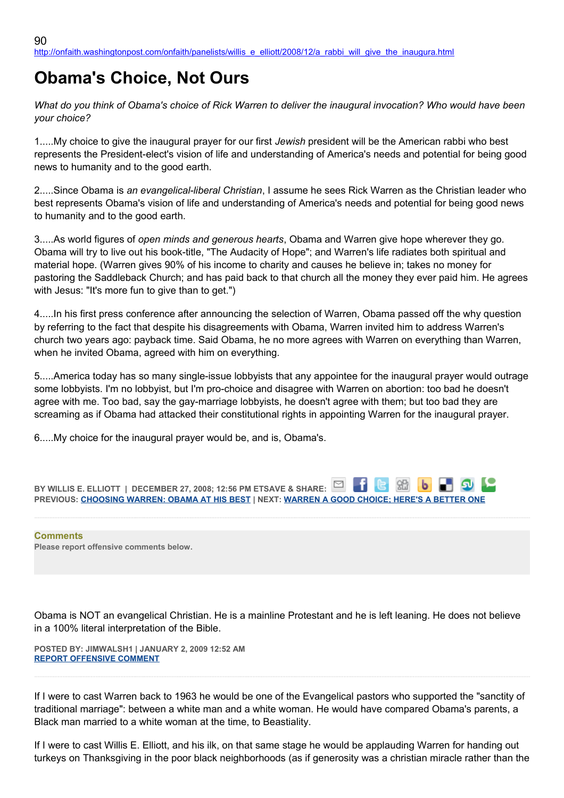## **Obama's Choice, Not Ours**

*What do you think of Obama's choice of Rick Warren to deliver the inaugural invocation? Who would have been your choice?*

1.....My choice to give the inaugural prayer for our first *Jewish* president will be the American rabbi who best represents the President-elect's vision of life and understanding of America's needs and potential for being good news to humanity and to the good earth.

2.....Since Obama is *an evangelical-liberal Christian*, I assume he sees Rick Warren as the Christian leader who best represents Obama's vision of life and understanding of America's needs and potential for being good news to humanity and to the good earth.

3.....As world figures of *open minds and generous hearts*, Obama and Warren give hope wherever they go. Obama will try to live out his book-title, "The Audacity of Hope"; and Warren's life radiates both spiritual and material hope. (Warren gives 90% of his income to charity and causes he believe in; takes no money for pastoring the Saddleback Church; and has paid back to that church all the money they ever paid him. He agrees with Jesus: "It's more fun to give than to get.")

4.....In his first press conference after announcing the selection of Warren, Obama passed off the why question by referring to the fact that despite his disagreements with Obama, Warren invited him to address Warren's church two years ago: payback time. Said Obama, he no more agrees with Warren on everything than Warren, when he invited Obama, agreed with him on everything.

5.....America today has so many single-issue lobbyists that any appointee for the inaugural prayer would outrage some lobbyists. I'm no lobbyist, but I'm pro-choice and disagree with Warren on abortion: too bad he doesn't agree with me. Too bad, say the gay-marriage lobbyists, he doesn't agree with them; but too bad they are screaming as if Obama had attacked their constitutional rights in appointing Warren for the inaugural prayer.

6.....My choice for the inaugural prayer would be, and is, Obama's.



**Comments Please report offensive comments below.**

Obama is NOT an evangelical Christian. He is a mainline Protestant and he is left leaning. He does not believe in a 100% literal interpretation of the Bible.

**POSTED BY: JIMWALSH1 | JANUARY 2, 2009 12:52 AM [REPORT OFFENSIVE COMMENT](mailto:blogs@washingtonpost.com?subject=On%20Faith%20Panelists%20Blog%20%20%7C%20%20JimWalsh1%20%20%7C%20%20Obama)**

If I were to cast Warren back to 1963 he would be one of the Evangelical pastors who supported the "sanctity of traditional marriage": between a white man and a white woman. He would have compared Obama's parents, a Black man married to a white woman at the time, to Beastiality.

If I were to cast Willis E. Elliott, and his ilk, on that same stage he would be applauding Warren for handing out turkeys on Thanksgiving in the poor black neighborhoods (as if generosity was a christian miracle rather than the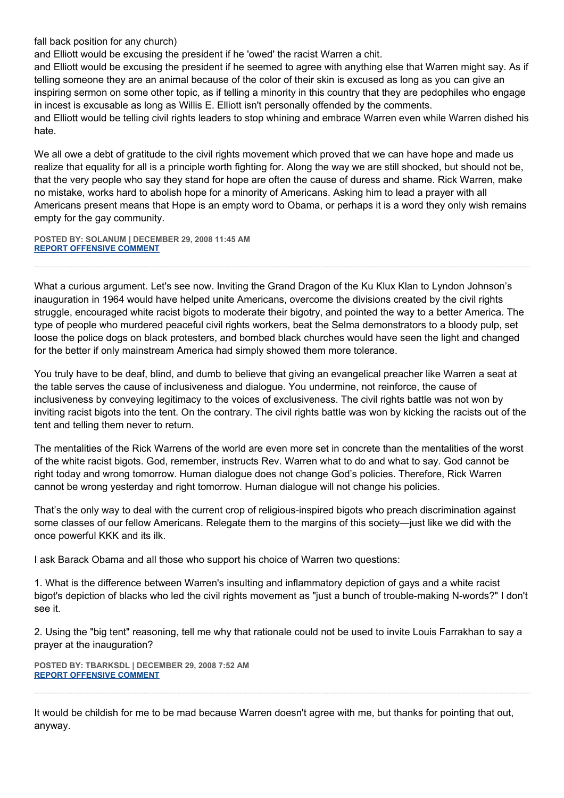fall back position for any church)

and Elliott would be excusing the president if he 'owed' the racist Warren a chit.

and Elliott would be excusing the president if he seemed to agree with anything else that Warren might say. As if telling someone they are an animal because of the color of their skin is excused as long as you can give an inspiring sermon on some other topic, as if telling a minority in this country that they are pedophiles who engage in incest is excusable as long as Willis E. Elliott isn't personally offended by the comments. and Elliott would be telling civil rights leaders to stop whining and embrace Warren even while Warren dished his hate.

We all owe a debt of gratitude to the civil rights movement which proved that we can have hope and made us realize that equality for all is a principle worth fighting for. Along the way we are still shocked, but should not be, that the very people who say they stand for hope are often the cause of duress and shame. Rick Warren, make no mistake, works hard to abolish hope for a minority of Americans. Asking him to lead a prayer with all Americans present means that Hope is an empty word to Obama, or perhaps it is a word they only wish remains empty for the gay community.

**POSTED BY: SOLANUM | DECEMBER 29, 2008 11:45 AM [REPORT OFFENSIVE COMMENT](mailto:blogs@washingtonpost.com?subject=On%20Faith%20Panelists%20Blog%20%20%7C%20%20Solanum%20%20%7C%20%20Obama)**

What a curious argument. Let's see now. Inviting the Grand Dragon of the Ku Klux Klan to Lyndon Johnson's inauguration in 1964 would have helped unite Americans, overcome the divisions created by the civil rights struggle, encouraged white racist bigots to moderate their bigotry, and pointed the way to a better America. The type of people who murdered peaceful civil rights workers, beat the Selma demonstrators to a bloody pulp, set loose the police dogs on black protesters, and bombed black churches would have seen the light and changed for the better if only mainstream America had simply showed them more tolerance.

You truly have to be deaf, blind, and dumb to believe that giving an evangelical preacher like Warren a seat at the table serves the cause of inclusiveness and dialogue. You undermine, not reinforce, the cause of inclusiveness by conveying legitimacy to the voices of exclusiveness. The civil rights battle was not won by inviting racist bigots into the tent. On the contrary. The civil rights battle was won by kicking the racists out of the tent and telling them never to return.

The mentalities of the Rick Warrens of the world are even more set in concrete than the mentalities of the worst of the white racist bigots. God, remember, instructs Rev. Warren what to do and what to say. God cannot be right today and wrong tomorrow. Human dialogue does not change God's policies. Therefore, Rick Warren cannot be wrong yesterday and right tomorrow. Human dialogue will not change his policies.

That's the only way to deal with the current crop of religious-inspired bigots who preach discrimination against some classes of our fellow Americans. Relegate them to the margins of this society—just like we did with the once powerful KKK and its ilk.

I ask Barack Obama and all those who support his choice of Warren two questions:

1. What is the difference between Warren's insulting and inflammatory depiction of gays and a white racist bigot's depiction of blacks who led the civil rights movement as "just a bunch of trouble-making N-words?" I don't see it.

2. Using the "big tent" reasoning, tell me why that rationale could not be used to invite Louis Farrakhan to say a prayer at the inauguration?

**POSTED BY: TBARKSDL | DECEMBER 29, 2008 7:52 AM [REPORT OFFENSIVE COMMENT](mailto:blogs@washingtonpost.com?subject=On%20Faith%20Panelists%20Blog%20%20%7C%20%20tbarksdl%20%20%7C%20%20Obama)**

It would be childish for me to be mad because Warren doesn't agree with me, but thanks for pointing that out, anyway.